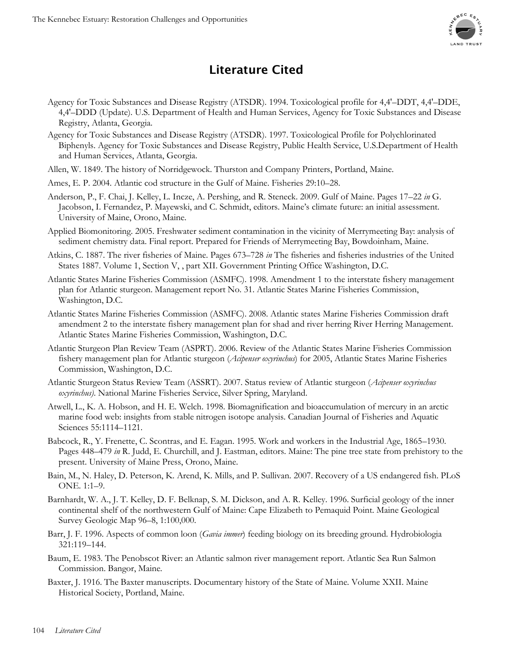

## **Literature Cited**

- Agency for Toxic Substances and Disease Registry (ATSDR). 1994. Toxicological profile for 4,4'–DDT, 4,4'–DDE, 4,4'–DDD (Update). U.S. Department of Health and Human Services, Agency for Toxic Substances and Disease Registry, Atlanta, Georgia.
- Agency for Toxic Substances and Disease Registry (ATSDR). 1997. Toxicological Profile for Polychlorinated Biphenyls. Agency for Toxic Substances and Disease Registry, Public Health Service, U.S.Department of Health and Human Services, Atlanta, Georgia.
- Allen, W. 1849. The history of Norridgewock. Thurston and Company Printers, Portland, Maine.
- Ames, E. P. 2004. Atlantic cod structure in the Gulf of Maine. Fisheries 29:10–28.
- Anderson, P., F. Chai, J. Kelley, L. Incze, A. Pershing, and R. Steneck. 2009. Gulf of Maine. Pages 17–22 *in* G. Jacobson, I. Fernandez, P. Mayewski, and C. Schmidt, editors. Maine's climate future: an initial assessment. University of Maine, Orono, Maine.
- Applied Biomonitoring. 2005. Freshwater sediment contamination in the vicinity of Merrymeeting Bay: analysis of sediment chemistry data. Final report. Prepared for Friends of Merrymeeting Bay, Bowdoinham, Maine.
- Atkins, C. 1887. The river fisheries of Maine. Pages 673–728 *in* The fisheries and fisheries industries of the United States 1887. Volume 1, Section V, , part XII. Government Printing Office Washington, D.C.
- Atlantic States Marine Fisheries Commission (ASMFC). 1998. Amendment 1 to the interstate fishery management plan for Atlantic sturgeon. Management report No. 31. Atlantic States Marine Fisheries Commission, Washington, D.C.
- Atlantic States Marine Fisheries Commission (ASMFC). 2008. Atlantic states Marine Fisheries Commission draft amendment 2 to the interstate fishery management plan for shad and river herring River Herring Management. Atlantic States Marine Fisheries Commission, Washington, D.C.
- Atlantic Sturgeon Plan Review Team (ASPRT). 2006. Review of the Atlantic States Marine Fisheries Commission fishery management plan for Atlantic sturgeon (*Acipenser oxyrinchus*) for 2005, Atlantic States Marine Fisheries Commission, Washington, D.C.
- Atlantic Sturgeon Status Review Team (ASSRT). 2007. Status review of Atlantic sturgeon (*Acipenser oxyrinchus oxyrinchus)*. National Marine Fisheries Service, Silver Spring, Maryland.
- Atwell, L., K. A. Hobson, and H. E. Welch. 1998. Biomagnification and bioaccumulation of mercury in an arctic marine food web: insights from stable nitrogen isotope analysis. Canadian Journal of Fisheries and Aquatic Sciences 55:1114–1121.
- Babcock, R., Y. Frenette, C. Scontras, and E. Eagan. 1995. Work and workers in the Industrial Age, 1865–1930. Pages 448–479 *in* R. Judd, E. Churchill, and J. Eastman, editors. Maine: The pine tree state from prehistory to the present. University of Maine Press, Orono, Maine.
- Bain, M., N. Haley, D. Peterson, K. Arend, K. Mills, and P. Sullivan. 2007. Recovery of a US endangered fish. PLoS ONE. 1:1–9.
- Barnhardt, W. A., J. T. Kelley, D. F. Belknap, S. M. Dickson, and A. R. Kelley. 1996. Surficial geology of the inner continental shelf of the northwestern Gulf of Maine: Cape Elizabeth to Pemaquid Point. Maine Geological Survey Geologic Map 96–8, 1:100,000.
- Barr, J. F. 1996. Aspects of common loon (*Gavia immer*) feeding biology on its breeding ground. Hydrobiologia 321:119–144.
- Baum, E. 1983. The Penobscot River: an Atlantic salmon river management report. Atlantic Sea Run Salmon Commission. Bangor, Maine.
- Baxter, J. 1916. The Baxter manuscripts. Documentary history of the State of Maine. Volume XXII. Maine Historical Society, Portland, Maine.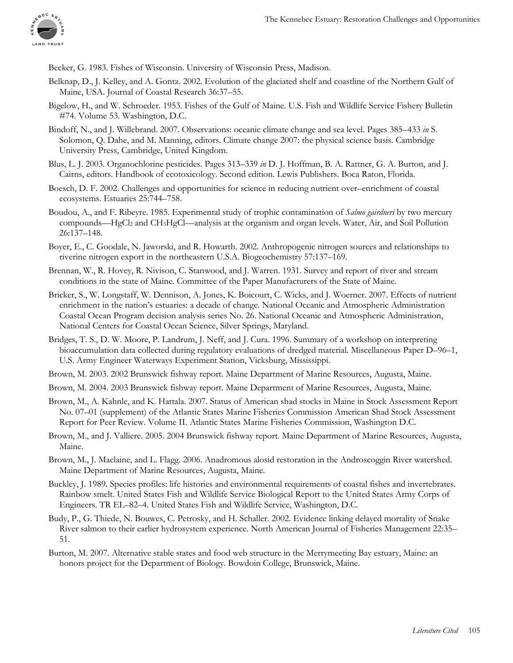

Becker, G. 1983. Fishes of Wisconsin. University of Wisconsin Press, Madison.

- Belknap, D., J. Kelley, and A. Gontz. 2002. Evolution of the glaciated shelf and coastline of the Northern Gulf of Maine, USA. Journal of Coastal Research 36:37–55.
- Bigelow, H., and W. Schroeder. 1953. Fishes of the Gulf of Maine. U.S. Fish and Wildlife Service Fishery Bulletin #74. Volume 53. Washington, D.C.
- Bindoff, N., and J. Willebrand. 2007. Observations: oceanic climate change and sea level. Pages 385–433 *in* S. Solomon, Q. Dahe, and M. Manning, editors. Climate change 2007: the physical science basis. Cambridge University Press, Cambridge, United Kingdom.
- Blus, L. J. 2003. Organochlorine pesticides. Pages 313–339 *in* D. J. Hoffman, B. A. Rattner, G. A. Burton, and J. Cairns, editors. Handbook of ecotoxicology. Second edition. Lewis Publishers. Boca Raton, Florida.
- Boesch, D. F. 2002. Challenges and opportunities for science in reducing nutrient over–enrichment of coastal ecosystems. Estuaries 25:744–758.
- Boudou, A., and F. Ribeyre. 1985. Experimental study of trophic contamination of *Salmo gairdneri* by two mercury compounds—HgCl<sub>2</sub> and CH<sub>3</sub>HgCl—analysis at the organism and organ levels. Water, Air, and Soil Pollution 26:137–148.
- Boyer, E., C. Goodale, N. Jaworski, and R. Howarth. 2002. Anthropogenic nitrogen sources and relationships to riverine nitrogen export in the northeastern U.S.A. Biogeochemistry 57:137–169.
- Brennan, W., R. Hovey, R. Nivison, C. Stanwood, and J. Warren. 1931. Survey and report of river and stream conditions in the state of Maine. Committee of the Paper Manufacturers of the State of Maine.
- Bricker, S., W. Longstaff, W. Dennison, A. Jones, K. Boicourt, C. Wicks, and J. Woerner. 2007. Effects of nutrient enrichment in the nation's estuaries: a decade of change. National Oceanic and Atmospheric Administration Coastal Ocean Program decision analysis series No. 26. National Oceanic and Atmospheric Administration, National Centers for Coastal Ocean Science, Silver Springs, Maryland.
- Bridges, T. S., D. W. Moore, P. Landrum, J. Neff, and J. Cura. 1996. Summary of a workshop on interpreting bioaccumulation data collected during regulatory evaluations of dredged material. Miscellaneous Paper D–96–1, U.S. Army Engineer Waterways Experiment Station, Vicksburg, Mississippi.
- Brown, M. 2003. 2002 Brunswick fishway report. Maine Department of Marine Resources, Augusta, Maine.
- Brown, M. 2004. 2003 Brunswick fishway report. Maine Department of Marine Resources, Augusta, Maine.
- Brown, M., A. Kahnle, and K. Hattala. 2007. Status of American shad stocks in Maine in Stock Assessment Report No. 07–01 (supplement) of the Atlantic States Marine Fisheries Commission American Shad Stock Assessment Report for Peer Review. Volume II. Atlantic States Marine Fisheries Commission, Washington D.C.
- Brown, M., and J. Valliere. 2005. 2004 Brunswick fishway report. Maine Department of Marine Resources, Augusta, Maine.
- Brown, M., J. Maclaine, and L. Flagg. 2006. Anadromous alosid restoration in the Androscoggin River watershed. Maine Department of Marine Resources, Augusta, Maine.
- Buckley, J. 1989. Species profiles: life histories and environmental requirements of coastal fishes and invertebrates. Rainbow smelt. United States Fish and Wildlife Service Biological Report to the United States Army Corps of Engineers. TR EL–82–4. United States Fish and Wildlife Service, Washington, D.C.
- Budy, P., G. Thiede, N. Bouwes, C. Petrosky, and H. Schaller. 2002. Evidence linking delayed mortality of Snake River salmon to their earlier hydrosystem experience. North American Journal of Fisheries Management 22:35– 51.
- Burton, M. 2007. Alternative stable states and food web structure in the Merrymeeting Bay estuary, Maine: an honors project for the Department of Biology. Bowdoin College, Brunswick, Maine.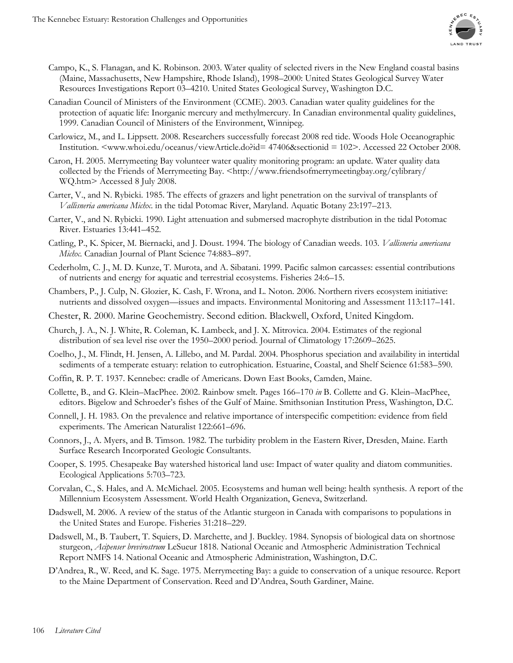

- Campo, K., S. Flanagan, and K. Robinson. 2003. Water quality of selected rivers in the New England coastal basins (Maine, Massachusetts, New Hampshire, Rhode Island), 1998–2000: United States Geological Survey Water Resources Investigations Report 03–4210. United States Geological Survey, Washington D.C.
- Canadian Council of Ministers of the Environment (CCME). 2003. Canadian water quality guidelines for the protection of aquatic life: Inorganic mercury and methylmercury. In Canadian environmental quality guidelines, 1999. Canadian Council of Ministers of the Environment, Winnipeg.
- Carlowicz, M., and L. Lippsett. 2008. Researchers successfully forecast 2008 red tide. Woods Hole Oceanographic Institution. <www.whoi.edu/oceanus/viewArticle.do?id= 47406&sectionid = 102>. Accessed 22 October 2008.
- Caron, H. 2005. Merrymeeting Bay volunteer water quality monitoring program: an update. Water quality data collected by the Friends of Merrymeeting Bay. <http://www.friendsofmerrymeetingbay.org/cylibrary/ WQ.htm> Accessed 8 July 2008.
- Carter, V., and N. Rybicki. 1985. The effects of grazers and light penetration on the survival of transplants of *Vallisneria americana Michx*. in the tidal Potomac River, Maryland. Aquatic Botany 23:197–213.
- Carter, V., and N. Rybicki. 1990. Light attenuation and submersed macrophyte distribution in the tidal Potomac River. Estuaries 13:441–452.
- Catling, P., K. Spicer, M. Biernacki, and J. Doust. 1994. The biology of Canadian weeds. 103. *Vallisneria americana Michx*. Canadian Journal of Plant Science 74:883–897.
- Cederholm, C. J., M. D. Kunze, T. Murota, and A. Sibatani. 1999. Pacific salmon carcasses: essential contributions of nutrients and energy for aquatic and terrestrial ecosystems. Fisheries 24:6–15.
- Chambers, P., J. Culp, N. Glozier, K. Cash, F. Wrona, and L. Noton. 2006. Northern rivers ecosystem initiative: nutrients and dissolved oxygen—issues and impacts. Environmental Monitoring and Assessment 113:117–141.
- Chester, R. 2000. Marine Geochemistry. Second edition. Blackwell, Oxford, United Kingdom.
- Church, J. A., N. J. White, R. Coleman, K. Lambeck, and J. X. Mitrovica. 2004. Estimates of the regional distribution of sea level rise over the 1950–2000 period. Journal of Climatology 17:2609–2625.
- Coelho, J., M. Flindt, H. Jensen, A. Lillebo, and M. Pardal. 2004. Phosphorus speciation and availability in intertidal sediments of a temperate estuary: relation to eutrophication. Estuarine, Coastal, and Shelf Science 61:583–590.
- Coffin, R. P. T. 1937. Kennebec: cradle of Americans. Down East Books, Camden, Maine.
- Collette, B., and G. Klein–MacPhee. 2002. Rainbow smelt. Pages 166–170 *in* B. Collette and G. Klein–MacPhee, editors. Bigelow and Schroeder's fishes of the Gulf of Maine. Smithsonian Institution Press, Washington, D.C.
- Connell, J. H. 1983. On the prevalence and relative importance of interspecific competition: evidence from field experiments. The American Naturalist 122:661–696.
- Connors, J., A. Myers, and B. Timson. 1982. The turbidity problem in the Eastern River, Dresden, Maine. Earth Surface Research Incorporated Geologic Consultants.
- Cooper, S. 1995. Chesapeake Bay watershed historical land use: Impact of water quality and diatom communities. Ecological Applications 5:703–723.
- Corvalan, C., S. Hales, and A. McMichael. 2005. Ecosystems and human well being: health synthesis. A report of the Millennium Ecosystem Assessment. World Health Organization, Geneva, Switzerland.
- Dadswell, M. 2006. A review of the status of the Atlantic sturgeon in Canada with comparisons to populations in the United States and Europe. Fisheries 31:218–229.
- Dadswell, M., B. Taubert, T. Squiers, D. Marchette, and J. Buckley. 1984. Synopsis of biological data on shortnose sturgeon, *Acipenser brevirostrum* LeSueur 1818. National Oceanic and Atmospheric Administration Technical Report NMFS 14. National Oceanic and Atmospheric Administration, Washington, D.C.
- D'Andrea, R., W. Reed, and K. Sage. 1975. Merrymeeting Bay: a guide to conservation of a unique resource. Report to the Maine Department of Conservation. Reed and D'Andrea, South Gardiner, Maine.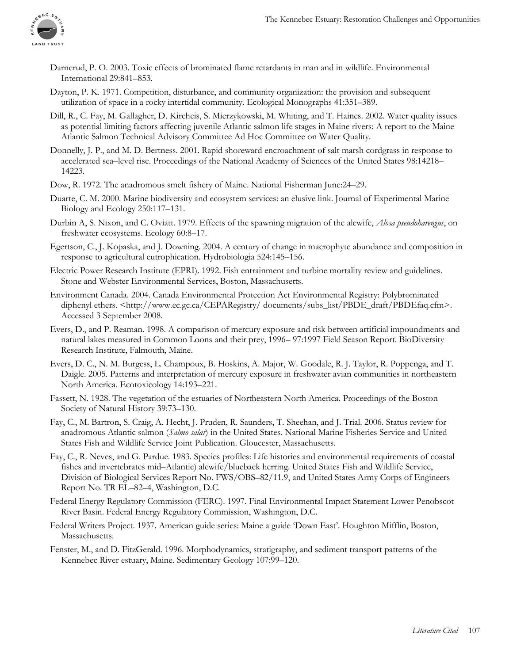

- Darnerud, P. O. 2003. Toxic effects of brominated flame retardants in man and in wildlife. Environmental International 29:841–853.
- Dayton, P. K. 1971. Competition, disturbance, and community organization: the provision and subsequent utilization of space in a rocky intertidal community. Ecological Monographs 41:351–389.
- Dill, R., C. Fay, M. Gallagher, D. Kircheis, S. Mierzykowski, M. Whiting, and T. Haines. 2002. Water quality issues as potential limiting factors affecting juvenile Atlantic salmon life stages in Maine rivers: A report to the Maine Atlantic Salmon Technical Advisory Committee Ad Hoc Committee on Water Quality.
- Donnelly, J. P., and M. D. Bertness. 2001. Rapid shoreward encroachment of salt marsh cordgrass in response to accelerated sea–level rise. Proceedings of the National Academy of Sciences of the United States 98:14218– 14223.
- Dow, R. 1972. The anadromous smelt fishery of Maine. National Fisherman June:24–29.
- Duarte, C. M. 2000. Marine biodiversity and ecosystem services: an elusive link. Journal of Experimental Marine Biology and Ecology 250:117–131.
- Durbin A, S. Nixon, and C. Oviatt. 1979. Effects of the spawning migration of the alewife, *Alosa pseudoharengus*, on freshwater ecosystems. Ecology 60:8–17.
- Egertson, C., J. Kopaska, and J. Downing. 2004. A century of change in macrophyte abundance and composition in response to agricultural eutrophication. Hydrobiologia 524:145–156.
- Electric Power Research Institute (EPRI). 1992. Fish entrainment and turbine mortality review and guidelines. Stone and Webster Environmental Services, Boston, Massachusetts.
- Environment Canada. 2004. Canada Environmental Protection Act Environmental Registry: Polybrominated diphenyl ethers. <http://www.ec.gc.ca/CEPARegistry/ documents/subs\_list/PBDE\_draft/PBDEfaq.cfm>. Accessed 3 September 2008.
- Evers, D., and P. Reaman. 1998. A comparison of mercury exposure and risk between artificial impoundments and natural lakes measured in Common Loons and their prey, 1996– 97:1997 Field Season Report. BioDiversity Research Institute, Falmouth, Maine.
- Evers, D. C., N. M. Burgess, L. Champoux, B. Hoskins, A. Major, W. Goodale, R. J. Taylor, R. Poppenga, and T. Daigle. 2005. Patterns and interpretation of mercury exposure in freshwater avian communities in northeastern North America. Ecotoxicology 14:193–221.
- Fassett, N. 1928. The vegetation of the estuaries of Northeastern North America. Proceedings of the Boston Society of Natural History 39:73–130.
- Fay, C., M. Bartron, S. Craig, A. Hecht, J. Pruden, R. Saunders, T. Sheehan, and J. Trial. 2006. Status review for anadromous Atlantic salmon (*Salmo salar*) in the United States. National Marine Fisheries Service and United States Fish and Wildlife Service Joint Publication. Gloucester, Massachusetts.
- Fay, C., R. Neves, and G. Pardue. 1983. Species profiles: Life histories and environmental requirements of coastal fishes and invertebrates mid–Atlantic) alewife/blueback herring. United States Fish and Wildlife Service, Division of Biological Services Report No. FWS/OBS–82/11.9, and United States Army Corps of Engineers Report No. TR EL–82–4, Washington, D.C.
- Federal Energy Regulatory Commission (FERC). 1997. Final Environmental Impact Statement Lower Penobscot River Basin. Federal Energy Regulatory Commission, Washington, D.C.
- Federal Writers Project. 1937. American guide series: Maine a guide 'Down East'. Houghton Mifflin, Boston, Massachusetts.
- Fenster, M., and D. FitzGerald. 1996. Morphodynamics, stratigraphy, and sediment transport patterns of the Kennebec River estuary, Maine. Sedimentary Geology 107:99–120.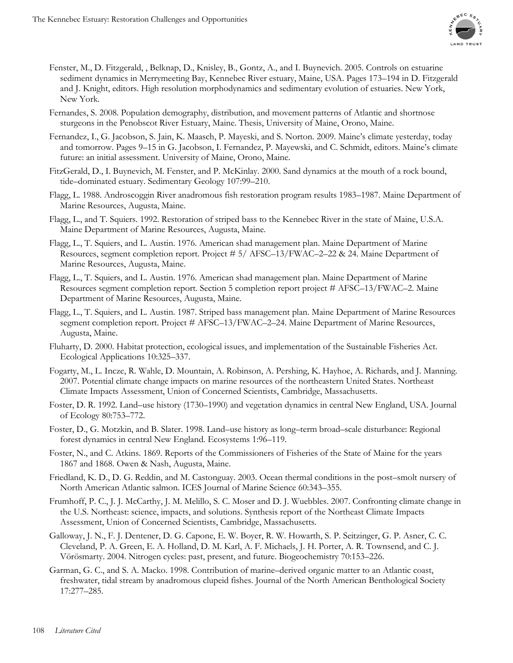

- Fenster, M., D. Fitzgerald, , Belknap, D., Knisley, B., Gontz, A., and I. Buynevich. 2005. Controls on estuarine sediment dynamics in Merrymeeting Bay, Kennebec River estuary, Maine, USA. Pages 173–194 in D. Fitzgerald and J. Knight, editors. High resolution morphodynamics and sedimentary evolution of estuaries. New York, New York.
- Fernandes, S. 2008. Population demography, distribution, and movement patterns of Atlantic and shortnose sturgeons in the Penobscot River Estuary, Maine. Thesis, University of Maine, Orono, Maine.
- Fernandez, I., G. Jacobson, S. Jain, K. Maasch, P. Mayeski, and S. Norton. 2009. Maine's climate yesterday, today and tomorrow. Pages 9–15 in G. Jacobson, I. Fernandez, P. Mayewski, and C. Schmidt, editors. Maine's climate future: an initial assessment. University of Maine, Orono, Maine.
- FitzGerald, D., I. Buynevich, M. Fenster, and P. McKinlay. 2000. Sand dynamics at the mouth of a rock bound, tide–dominated estuary. Sedimentary Geology 107:99–210.
- Flagg, L. 1988. Androscoggin River anadromous fish restoration program results 1983–1987. Maine Department of Marine Resources, Augusta, Maine.
- Flagg, L., and T. Squiers. 1992. Restoration of striped bass to the Kennebec River in the state of Maine, U.S.A. Maine Department of Marine Resources, Augusta, Maine.
- Flagg, L., T. Squiers, and L. Austin. 1976. American shad management plan. Maine Department of Marine Resources, segment completion report. Project # 5/ AFSC–13/FWAC–2–22 & 24. Maine Department of Marine Resources, Augusta, Maine.
- Flagg, L., T. Squiers, and L. Austin. 1976. American shad management plan. Maine Department of Marine Resources segment completion report. Section 5 completion report project # AFSC–13/FWAC–2. Maine Department of Marine Resources, Augusta, Maine.
- Flagg, L., T. Squiers, and L. Austin. 1987. Striped bass management plan. Maine Department of Marine Resources segment completion report. Project # AFSC–13/FWAC–2–24. Maine Department of Marine Resources, Augusta, Maine.
- Fluharty, D. 2000. Habitat protection, ecological issues, and implementation of the Sustainable Fisheries Act. Ecological Applications 10:325–337.
- Fogarty, M., L. Incze, R. Wahle, D. Mountain, A. Robinson, A. Pershing, K. Hayhoe, A. Richards, and J. Manning. 2007. Potential climate change impacts on marine resources of the northeastern United States. Northeast Climate Impacts Assessment, Union of Concerned Scientists, Cambridge, Massachusetts.
- Foster, D. R. 1992. Land–use history (1730–1990) and vegetation dynamics in central New England, USA. Journal of Ecology 80:753–772.
- Foster, D., G. Motzkin, and B. Slater. 1998. Land–use history as long–term broad–scale disturbance: Regional forest dynamics in central New England. Ecosystems 1:96–119.
- Foster, N., and C. Atkins. 1869. Reports of the Commissioners of Fisheries of the State of Maine for the years 1867 and 1868. Owen & Nash, Augusta, Maine.
- Friedland, K. D., D. G. Reddin, and M. Castonguay. 2003. Ocean thermal conditions in the post–smolt nursery of North American Atlantic salmon. ICES Journal of Marine Science 60:343–355.
- Frumhoff, P. C., J. J. McCarthy, J. M. Melillo, S. C. Moser and D. J. Wuebbles. 2007. Confronting climate change in the U.S. Northeast: science, impacts, and solutions. Synthesis report of the Northeast Climate Impacts Assessment, Union of Concerned Scientists, Cambridge, Massachusetts.
- Galloway, J. N., F. J. Dentener, D. G. Capone, E. W. Boyer, R. W. Howarth, S. P. Seitzinger, G. P. Asner, C. C. Cleveland, P. A. Green, E. A. Holland, D. M. Karl, A. F. Michaels, J. H. Porter, A. R. Townsend, and C. J. Vörösmarty. 2004. Nitrogen cycles: past, present, and future. Biogeochemistry 70:153–226.
- Garman, G. C., and S. A. Macko. 1998. Contribution of marine–derived organic matter to an Atlantic coast, freshwater, tidal stream by anadromous clupeid fishes. Journal of the North American Benthological Society 17:277–285.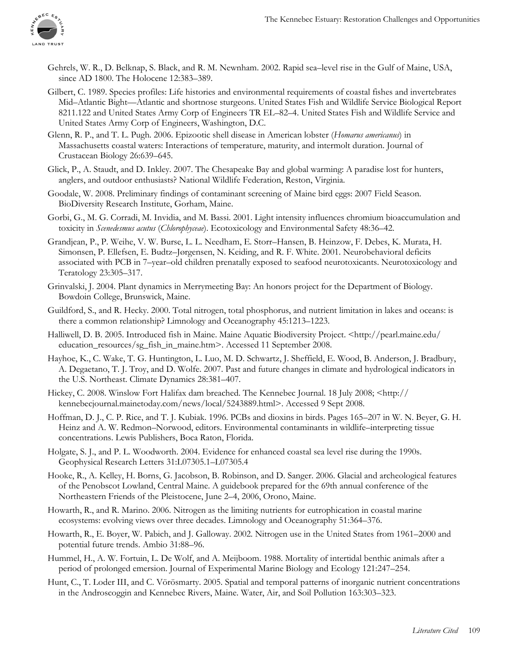

- Gehrels, W. R., D. Belknap, S. Black, and R. M. Newnham. 2002. Rapid sea–level rise in the Gulf of Maine, USA, since AD 1800. The Holocene 12:383–389.
- Gilbert, C. 1989. Species profiles: Life histories and environmental requirements of coastal fishes and invertebrates Mid–Atlantic Bight—Atlantic and shortnose sturgeons. United States Fish and Wildlife Service Biological Report 8211.122 and United States Army Corp of Engineers TR EL–82–4. United States Fish and Wildlife Service and United States Army Corp of Engineers, Washington, D.C.
- Glenn, R. P., and T. L. Pugh. 2006. Epizootic shell disease in American lobster (*Homarus americanus*) in Massachusetts coastal waters: Interactions of temperature, maturity, and intermolt duration. Journal of Crustacean Biology 26:639–645.
- Glick, P., A. Staudt, and D. Inkley. 2007. The Chesapeake Bay and global warming: A paradise lost for hunters, anglers, and outdoor enthusiasts? National Wildlife Federation, Reston, Virginia.
- Goodale, W. 2008. Preliminary findings of contaminant screening of Maine bird eggs: 2007 Field Season. BioDiversity Research Institute, Gorham, Maine.
- Gorbi, G., M. G. Corradi, M. Invidia, and M. Bassi. 2001. Light intensity influences chromium bioaccumulation and toxicity in *Scenedesmus acutus* (*Chlorophyceae*). Ecotoxicology and Environmental Safety 48:36–42.
- Grandjean, P., P. Weihe, V. W. Burse, L. L. Needham, E. Storr–Hansen, B. Heinzow, F. Debes, K. Murata, H. Simonsen, P. Ellefsen, E. Budtz–Jørgensen, N. Keiding, and R. F. White. 2001. Neurobehavioral deficits associated with PCB in 7–year–old children prenatally exposed to seafood neurotoxicants. Neurotoxicology and Teratology 23:305–317.
- Grinvalski, J. 2004. Plant dynamics in Merrymeeting Bay: An honors project for the Department of Biology. Bowdoin College, Brunswick, Maine.
- Guildford, S., and R. Hecky. 2000. Total nitrogen, total phosphorus, and nutrient limitation in lakes and oceans: is there a common relationship? Limnology and Oceanography 45:1213–1223.
- Halliwell, D. B. 2005. Introduced fish in Maine. Maine Aquatic Biodiversity Project. <http://pearl.maine.edu/ education\_resources/sg\_fish\_in\_maine.htm>. Accessed 11 September 2008.
- Hayhoe, K., C. Wake, T. G. Huntington, L. Luo, M. D. Schwartz, J. Sheffield, E. Wood, B. Anderson, J. Bradbury, A. Degaetano, T. J. Troy, and D. Wolfe. 2007. Past and future changes in climate and hydrological indicators in the U.S. Northeast. Climate Dynamics 28:381–407.
- Hickey, C. 2008. Winslow Fort Halifax dam breached. The Kennebec Journal. 18 July 2008; <http:// kennebecjournal.mainetoday.com/news/local/5243889.html>. Accessed 9 Sept 2008.
- Hoffman, D. J., C. P. Rice, and T. J. Kubiak. 1996. PCBs and dioxins in birds. Pages 165–207 in W. N. Beyer, G. H. Heinz and A. W. Redmon–Norwood, editors. Environmental contaminants in wildlife–interpreting tissue concentrations. Lewis Publishers, Boca Raton, Florida.
- Holgate, S. J., and P. L. Woodworth. 2004. Evidence for enhanced coastal sea level rise during the 1990s. Geophysical Research Letters 31:L07305.1–L07305.4
- Hooke, R., A. Kelley, H. Borns, G. Jacobson, B. Robinson, and D. Sanger. 2006. Glacial and archeological features of the Penobscot Lowland, Central Maine. A guidebook prepared for the 69th annual conference of the Northeastern Friends of the Pleistocene, June 2–4, 2006, Orono, Maine.
- Howarth, R., and R. Marino. 2006. Nitrogen as the limiting nutrients for eutrophication in coastal marine ecosystems: evolving views over three decades. Limnology and Oceanography 51:364–376.
- Howarth, R., E. Boyer, W. Pabich, and J. Galloway. 2002. Nitrogen use in the United States from 1961–2000 and potential future trends. Ambio 31:88–96.
- Hummel, H., A. W. Fortuin, L. De Wolf, and A. Meijboom. 1988. Mortality of intertidal benthic animals after a period of prolonged emersion. Journal of Experimental Marine Biology and Ecology 121:247–254.
- Hunt, C., T. Loder III, and C. Vörösmarty. 2005. Spatial and temporal patterns of inorganic nutrient concentrations in the Androscoggin and Kennebec Rivers, Maine. Water, Air, and Soil Pollution 163:303–323.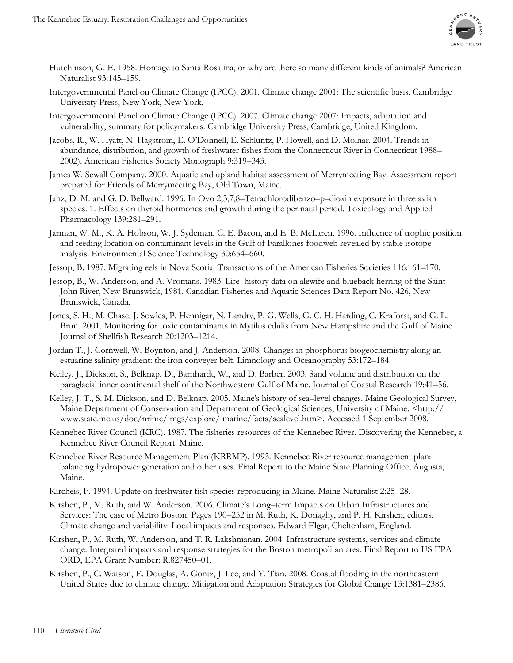

- Hutchinson, G. E. 1958. Homage to Santa Rosalina, or why are there so many different kinds of animals? American Naturalist 93:145–159.
- Intergovernmental Panel on Climate Change (IPCC). 2001. Climate change 2001: The scientific basis. Cambridge University Press, New York, New York.
- Intergovernmental Panel on Climate Change (IPCC). 2007. Climate change 2007: Impacts, adaptation and vulnerability, summary for policymakers. Cambridge University Press, Cambridge, United Kingdom.
- Jacobs, R., W. Hyatt, N. Hagstrom, E. O'Donnell, E. Schluntz, P. Howell, and D. Molnar. 2004. Trends in abundance, distribution, and growth of freshwater fishes from the Connecticut River in Connecticut 1988– 2002). American Fisheries Society Monograph 9:319–343.
- James W. Sewall Company. 2000. Aquatic and upland habitat assessment of Merrymeeting Bay. Assessment report prepared for Friends of Merrymeeting Bay, Old Town, Maine.
- Janz, D. M. and G. D. Bellward. 1996. In Ovo 2,3,7,8–Tetrachlorodibenzo–p–dioxin exposure in three avian species. 1. Effects on thyroid hormones and growth during the perinatal period. Toxicology and Applied Pharmacology 139:281–291.
- Jarman, W. M., K. A. Hobson, W. J. Sydeman, C. E. Bacon, and E. B. McLaren. 1996. Influence of trophic position and feeding location on contaminant levels in the Gulf of Farallones foodweb revealed by stable isotope analysis. Environmental Science Technology 30:654–660.
- Jessop, B. 1987. Migrating eels in Nova Scotia. Transactions of the American Fisheries Societies 116:161–170.
- Jessop, B., W. Anderson, and A. Vromans. 1983. Life–history data on alewife and blueback herring of the Saint John River, New Brunswick, 1981. Canadian Fisheries and Aquatic Sciences Data Report No. 426, New Brunswick, Canada.
- Jones, S. H., M. Chase, J. Sowles, P. Hennigar, N. Landry, P. G. Wells, G. C. H. Harding, C. Kraforst, and G. L. Brun. 2001. Monitoring for toxic contaminants in Mytilus edulis from New Hampshire and the Gulf of Maine. Journal of Shellfish Research 20:1203–1214.
- Jordan T., J. Cornwell, W. Boynton, and J. Anderson. 2008. Changes in phosphorus biogeochemistry along an estuarine salinity gradient: the iron conveyer belt. Limnology and Oceanography 53:172–184.
- Kelley, J., Dickson, S., Belknap, D., Barnhardt, W., and D. Barber. 2003. Sand volume and distribution on the paraglacial inner continental shelf of the Northwestern Gulf of Maine. Journal of Coastal Research 19:41–56.
- Kelley, J. T., S. M. Dickson, and D. Belknap. 2005. Maine's history of sea–level changes. Maine Geological Survey, Maine Department of Conservation and Department of Geological Sciences, University of Maine. <http:// www.state.me.us/doc/nrimc/ mgs/explore/ marine/facts/sealevel.htm>. Accessed 1 September 2008.
- Kennebec River Council (KRC). 1987. The fisheries resources of the Kennebec River. Discovering the Kennebec, a Kennebec River Council Report. Maine.
- Kennebec River Resource Management Plan (KRRMP). 1993. Kennebec River resource management plan: balancing hydropower generation and other uses. Final Report to the Maine State Planning Office, Augusta, Maine.
- Kircheis, F. 1994. Update on freshwater fish species reproducing in Maine. Maine Naturalist 2:25–28.
- Kirshen, P., M. Ruth, and W. Anderson. 2006. Climate's Long–term Impacts on Urban Infrastructures and Services: The case of Metro Boston. Pages 190–252 in M. Ruth, K. Donaghy, and P. H. Kirshen, editors. Climate change and variability: Local impacts and responses. Edward Elgar, Cheltenham, England.
- Kirshen, P., M. Ruth, W. Anderson, and T. R. Lakshmanan. 2004. Infrastructure systems, services and climate change: Integrated impacts and response strategies for the Boston metropolitan area. Final Report to US EPA ORD, EPA Grant Number: R.827450–01.
- Kirshen, P., C. Watson, E. Douglas, A. Gontz, J. Lee, and Y. Tian. 2008. Coastal flooding in the northeastern United States due to climate change. Mitigation and Adaptation Strategies for Global Change 13:1381–2386.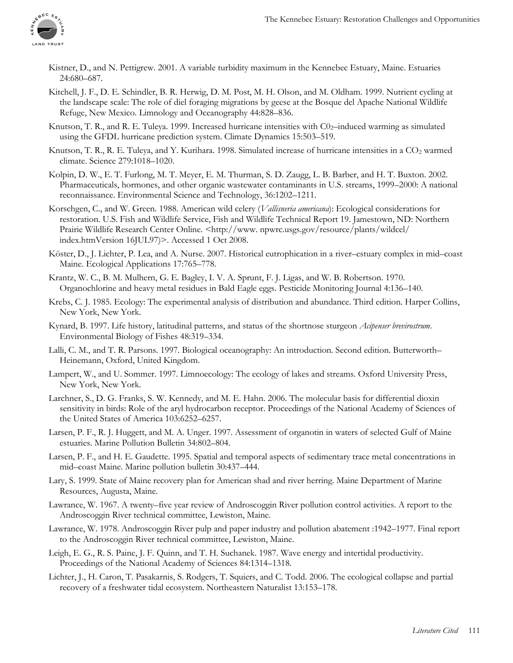

- Kistner, D., and N. Pettigrew. 2001. A variable turbidity maximum in the Kennebec Estuary, Maine. Estuaries 24:680–687.
- Kitchell, J. F., D. E. Schindler, B. R. Herwig, D. M. Post, M. H. Olson, and M. Oldham. 1999. Nutrient cycling at the landscape scale: The role of diel foraging migrations by geese at the Bosque del Apache National Wildlife Refuge, New Mexico. Limnology and Oceanography 44:828–836.
- Knutson, T. R., and R. E. Tuleya. 1999. Increased hurricane intensities with  $\text{CO}_2$ –induced warming as simulated using the GFDL hurricane prediction system. Climate Dynamics 15:503–519.
- Knutson, T. R., R. E. Tuleya, and Y. Kurihara. 1998. Simulated increase of hurricane intensities in a CO<sub>2</sub> warmed climate. Science 279:1018–1020.
- Kolpin, D. W., E. T. Furlong, M. T. Meyer, E. M. Thurman, S. D. Zaugg, L. B. Barber, and H. T. Buxton. 2002. Pharmaceuticals, hormones, and other organic wastewater contaminants in U.S. streams, 1999–2000: A national reconnaissance. Environmental Science and Technology, 36:1202–1211.
- Korschgen, C., and W. Green. 1988. American wild celery (*Vallisneria americana*): Ecological considerations for restoration. U.S. Fish and Wildlife Service, Fish and Wildlife Technical Report 19. Jamestown, ND: Northern Prairie Wildlife Research Center Online. <http://www.npwrc.usgs.gov/resource/plants/wildcel/ index.htmVersion 16JUL97)>. Accessed 1 Oct 2008.
- Köster, D., J. Lichter, P. Lea, and A. Nurse. 2007. Historical eutrophication in a river–estuary complex in mid–coast Maine. Ecological Applications 17:765–778.
- Krantz, W. C., B. M. Mulhern, G. E. Bagley, I. V. A. Sprunt, F. J. Ligas, and W. B. Robertson. 1970. Organochlorine and heavy metal residues in Bald Eagle eggs. Pesticide Monitoring Journal 4:136–140.
- Krebs, C. J. 1985. Ecology: The experimental analysis of distribution and abundance. Third edition. Harper Collins, New York, New York.
- Kynard, B. 1997. Life history, latitudinal patterns, and status of the shortnose sturgeon *Acipenser brevirostrum*. Environmental Biology of Fishes 48:319–334.
- Lalli, C. M., and T. R. Parsons. 1997. Biological oceanography: An introduction. Second edition. Butterworth– Heinemann, Oxford, United Kingdom.
- Lampert, W., and U. Sommer. 1997. Limnoecology: The ecology of lakes and streams. Oxford University Press, New York, New York.
- Larchner, S., D. G. Franks, S. W. Kennedy, and M. E. Hahn. 2006. The molecular basis for differential dioxin sensitivity in birds: Role of the aryl hydrocarbon receptor. Proceedings of the National Academy of Sciences of the United States of America 103:6252–6257.
- Larsen, P. F., R. J. Huggett, and M. A. Unger. 1997. Assessment of organotin in waters of selected Gulf of Maine estuaries. Marine Pollution Bulletin 34:802–804.
- Larsen, P. F., and H. E. Gaudette. 1995. Spatial and temporal aspects of sedimentary trace metal concentrations in mid–coast Maine. Marine pollution bulletin 30:437–444.
- Lary, S. 1999. State of Maine recovery plan for American shad and river herring. Maine Department of Marine Resources, Augusta, Maine.
- Lawrance, W. 1967. A twenty–five year review of Androscoggin River pollution control activities. A report to the Androscoggin River technical committee, Lewiston, Maine.
- Lawrance, W. 1978. Androscoggin River pulp and paper industry and pollution abatement :1942–1977. Final report to the Androscoggin River technical committee, Lewiston, Maine.
- Leigh, E. G., R. S. Paine, J. F. Quinn, and T. H. Suchanek. 1987. Wave energy and intertidal productivity. Proceedings of the National Academy of Sciences 84:1314–1318.
- Lichter, J., H. Caron, T. Pasakarnis, S. Rodgers, T. Squiers, and C. Todd. 2006. The ecological collapse and partial recovery of a freshwater tidal ecosystem. Northeastern Naturalist 13:153–178.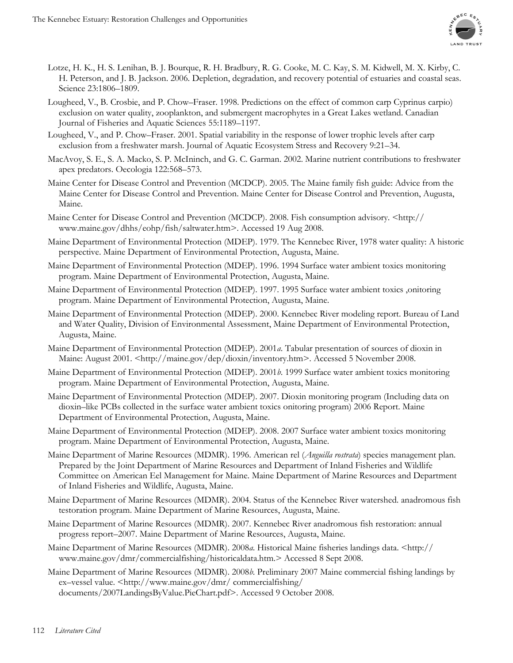

- Lotze, H. K., H. S. Lenihan, B. J. Bourque, R. H. Bradbury, R. G. Cooke, M. C. Kay, S. M. Kidwell, M. X. Kirby, C. H. Peterson, and J. B. Jackson. 2006. Depletion, degradation, and recovery potential of estuaries and coastal seas. Science 23:1806–1809.
- Lougheed, V., B. Crosbie, and P. Chow–Fraser. 1998. Predictions on the effect of common carp Cyprinus carpio) exclusion on water quality, zooplankton, and submergent macrophytes in a Great Lakes wetland. Canadian Journal of Fisheries and Aquatic Sciences 55:1189–1197.
- Lougheed, V., and P. Chow–Fraser. 2001. Spatial variability in the response of lower trophic levels after carp exclusion from a freshwater marsh. Journal of Aquatic Ecosystem Stress and Recovery 9:21–34.
- MacAvoy, S. E., S. A. Macko, S. P. McIninch, and G. C. Garman. 2002. Marine nutrient contributions to freshwater apex predators. Oecologia 122:568–573.
- Maine Center for Disease Control and Prevention (MCDCP). 2005. The Maine family fish guide: Advice from the Maine Center for Disease Control and Prevention. Maine Center for Disease Control and Prevention, Augusta, Maine.
- Maine Center for Disease Control and Prevention (MCDCP). 2008. Fish consumption advisory. <http:// www.maine.gov/dhhs/eohp/fish/saltwater.htm>. Accessed 19 Aug 2008.
- Maine Department of Environmental Protection (MDEP). 1979. The Kennebec River, 1978 water quality: A historic perspective. Maine Department of Environmental Protection, Augusta, Maine.
- Maine Department of Environmental Protection (MDEP). 1996. 1994 Surface water ambient toxics monitoring program. Maine Department of Environmental Protection, Augusta, Maine.
- Maine Department of Environmental Protection (MDEP). 1997. 1995 Surface water ambient toxics ,onitoring program. Maine Department of Environmental Protection, Augusta, Maine.
- Maine Department of Environmental Protection (MDEP). 2000. Kennebec River modeling report. Bureau of Land and Water Quality, Division of Environmental Assessment, Maine Department of Environmental Protection, Augusta, Maine.
- Maine Department of Environmental Protection (MDEP). 2001*a*. Tabular presentation of sources of dioxin in Maine: August 2001. <http://maine.gov/dep/dioxin/inventory.htm>. Accessed 5 November 2008.
- Maine Department of Environmental Protection (MDEP). 2001*b*. 1999 Surface water ambient toxics monitoring program. Maine Department of Environmental Protection, Augusta, Maine.
- Maine Department of Environmental Protection (MDEP). 2007. Dioxin monitoring program (Including data on dioxin–like PCBs collected in the surface water ambient toxics onitoring program) 2006 Report. Maine Department of Environmental Protection, Augusta, Maine.
- Maine Department of Environmental Protection (MDEP). 2008. 2007 Surface water ambient toxics monitoring program. Maine Department of Environmental Protection, Augusta, Maine.
- Maine Department of Marine Resources (MDMR). 1996. American rel (*Anguilla rostrata*) species management plan. Prepared by the Joint Department of Marine Resources and Department of Inland Fisheries and Wildlife Committee on American Eel Management for Maine. Maine Department of Marine Resources and Department of Inland Fisheries and Wildlife, Augusta, Maine.
- Maine Department of Marine Resources (MDMR). 2004. Status of the Kennebec River watershed. anadromous fish testoration program. Maine Department of Marine Resources, Augusta, Maine.
- Maine Department of Marine Resources (MDMR). 2007. Kennebec River anadromous fish restoration: annual progress report–2007. Maine Department of Marine Resources, Augusta, Maine.
- Maine Department of Marine Resources (MDMR). 2008*a*. Historical Maine fisheries landings data. <http:// www.maine.gov/dmr/commercialfishing/historicaldata.htm.> Accessed 8 Sept 2008.
- Maine Department of Marine Resources (MDMR). 2008*b*. Preliminary 2007 Maine commercial fishing landings by ex–vessel value. <http://www.maine.gov/dmr/ commercialfishing/ documents/2007LandingsByValue.PieChart.pdf>. Accessed 9 October 2008.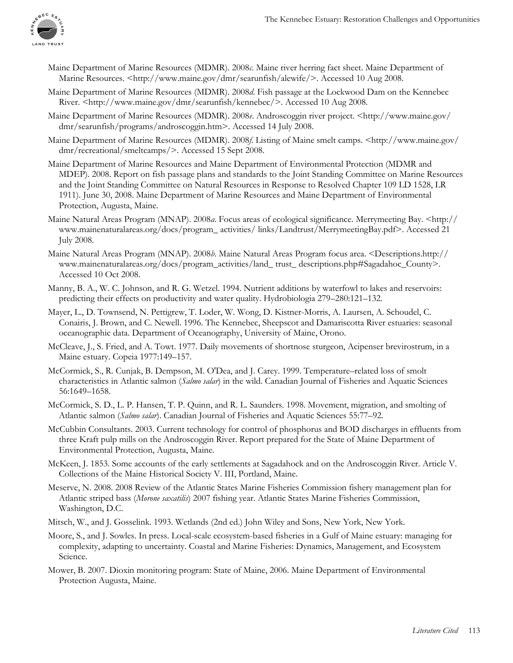

- Maine Department of Marine Resources (MDMR). 2008*c*. Maine river herring fact sheet. Maine Department of Marine Resources. <http://www.maine.gov/dmr/searunfish/alewife/>. Accessed 10 Aug 2008.
- Maine Department of Marine Resources (MDMR). 2008*d*. Fish passage at the Lockwood Dam on the Kennebec River. <http://www.maine.gov/dmr/searunfish/kennebec/>. Accessed 10 Aug 2008.
- Maine Department of Marine Resources (MDMR). 2008*e*. Androscoggin river project. <http://www.maine.gov/ dmr/searunfish/programs/androscoggin.htm>. Accessed 14 July 2008.
- Maine Department of Marine Resources (MDMR). 2008*f*. Listing of Maine smelt camps. <http://www.maine.gov/ dmr/recreational/smeltcamps/>. Accessed 15 Sept 2008.
- Maine Department of Marine Resources and Maine Department of Environmental Protection (MDMR and MDEP). 2008. Report on fish passage plans and standards to the Joint Standing Committee on Marine Resources and the Joint Standing Committee on Natural Resources in Response to Resolved Chapter 109 LD 1528, LR 1911). June 30, 2008. Maine Department of Marine Resources and Maine Department of Environmental Protection, Augusta, Maine.
- Maine Natural Areas Program (MNAP). 2008*a*. Focus areas of ecological significance. Merrymeeting Bay. <http:// www.mainenaturalareas.org/docs/program\_ activities/ links/Landtrust/MerrymeetingBay.pdf>. Accessed 21 July 2008.
- Maine Natural Areas Program (MNAP). 2008*b*. Maine Natural Areas Program focus area. <Descriptions.http:// www.mainenaturalareas.org/docs/program\_activities/land\_ trust\_ descriptions.php#Sagadahoc\_County>. Accessed 10 Oct 2008.
- Manny, B. A., W. C. Johnson, and R. G. Wetzel. 1994. Nutrient additions by waterfowl to lakes and reservoirs: predicting their effects on productivity and water quality. Hydrobiologia 279–280:121–132.
- Mayer, L., D. Townsend, N. Pettigrew, T. Loder, W. Wong, D. Kistner-Morris, A. Laursen, A. Schoudel, C. Conairis, J. Brown, and C. Newell. 1996. The Kennebec, Sheepscot and Damariscotta River estuaries: seasonal oceanographic data. Department of Oceanography, University of Maine, Orono.
- McCleave, J., S. Fried, and A. Towt. 1977. Daily movements of shortnose sturgeon, Acipenser brevirostrum, in a Maine estuary. Copeia 1977:149–157.
- McCormick, S., R. Cunjak, B. Dempson, M. O'Dea, and J. Carey. 1999. Temperature–related loss of smolt characteristics in Atlantic salmon (*Salmo salar*) in the wild. Canadian Journal of Fisheries and Aquatic Sciences 56:1649–1658.
- McCormick, S. D., L. P. Hansen, T. P. Quinn, and R. L. Saunders. 1998. Movement, migration, and smolting of Atlantic salmon (*Salmo salar*). Canadian Journal of Fisheries and Aquatic Sciences 55:77–92.
- McCubbin Consultants. 2003. Current technology for control of phosphorus and BOD discharges in effluents from three Kraft pulp mills on the Androscoggin River. Report prepared for the State of Maine Department of Environmental Protection, Augusta, Maine.
- McKeen, J. 1853. Some accounts of the early settlements at Sagadahock and on the Androscoggin River. Article V. Collections of the Maine Historical Society V. III, Portland, Maine.
- Meserve, N. 2008. 2008 Review of the Atlantic States Marine Fisheries Commission fishery management plan for Atlantic striped bass (*Morone saxatilis*) 2007 fishing year. Atlantic States Marine Fisheries Commission, Washington, D.C.
- Mitsch, W., and J. Gosselink. 1993. Wetlands (2nd ed.) John Wiley and Sons, New York, New York.
- Moore, S., and J. Sowles. In press. Local-scale ecosystem-based fisheries in a Gulf of Maine estuary: managing for complexity, adapting to uncertainty. Coastal and Marine Fisheries: Dynamics, Management, and Ecosystem Science.
- Mower, B. 2007. Dioxin monitoring program: State of Maine, 2006. Maine Department of Environmental Protection Augusta, Maine.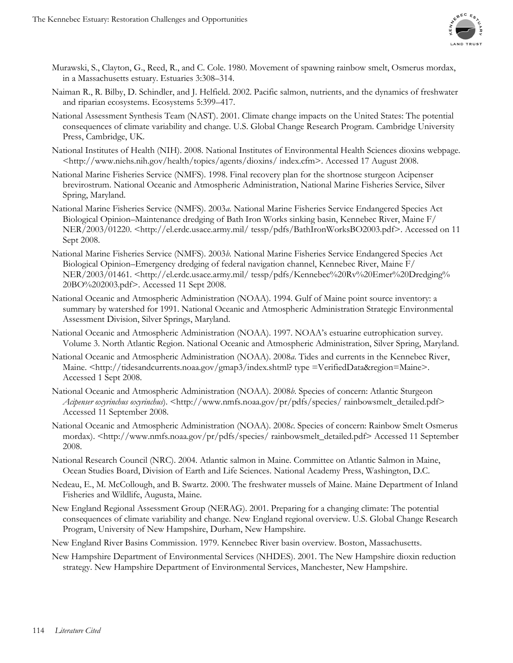

- Murawski, S., Clayton, G., Reed, R., and C. Cole. 1980. Movement of spawning rainbow smelt, Osmerus mordax, in a Massachusetts estuary. Estuaries 3:308–314.
- Naiman R., R. Bilby, D. Schindler, and J. Helfield. 2002. Pacific salmon, nutrients, and the dynamics of freshwater and riparian ecosystems. Ecosystems 5:399–417.
- National Assessment Synthesis Team (NAST). 2001. Climate change impacts on the United States: The potential consequences of climate variability and change. U.S. Global Change Research Program. Cambridge University Press, Cambridge, UK.
- National Institutes of Health (NIH). 2008. National Institutes of Environmental Health Sciences dioxins webpage. <http://www.niehs.nih.gov/health/topics/agents/dioxins/ index.cfm>. Accessed 17 August 2008.
- National Marine Fisheries Service (NMFS). 1998. Final recovery plan for the shortnose sturgeon Acipenser brevirostrum. National Oceanic and Atmospheric Administration, National Marine Fisheries Service, Silver Spring, Maryland.
- National Marine Fisheries Service (NMFS). 2003*a*. National Marine Fisheries Service Endangered Species Act Biological Opinion–Maintenance dredging of Bath Iron Works sinking basin, Kennebec River, Maine F/ NER/2003/01220. <http://el.erdc.usace.army.mil/ tessp/pdfs/BathIronWorksBO2003.pdf>. Accessed on 11 Sept 2008.
- National Marine Fisheries Service (NMFS). 2003*b*. National Marine Fisheries Service Endangered Species Act Biological Opinion–Emergency dredging of federal navigation channel, Kennebec River, Maine F/ NER/2003/01461. <http://el.erdc.usace.army.mil/ tessp/pdfs/Kennebec%20Rv%20Emer%20Dredging% 20BO%202003.pdf>. Accessed 11 Sept 2008.
- National Oceanic and Atmospheric Administration (NOAA). 1994. Gulf of Maine point source inventory: a summary by watershed for 1991. National Oceanic and Atmospheric Administration Strategic Environmental Assessment Division, Silver Springs, Maryland.
- National Oceanic and Atmospheric Administration (NOAA). 1997. NOAA's estuarine eutrophication survey. Volume 3. North Atlantic Region. National Oceanic and Atmospheric Administration, Silver Spring, Maryland.
- National Oceanic and Atmospheric Administration (NOAA). 2008*a*. Tides and currents in the Kennebec River, Maine. <http://tidesandcurrents.noaa.gov/gmap3/index.shtml? type =VerifiedData&region=Maine>. Accessed 1 Sept 2008.
- National Oceanic and Atmospheric Administration (NOAA). 2008*b*. Species of concern: Atlantic Sturgeon *Acipenser oxyrinchus oxyrinchus*). <http://www.nmfs.noaa.gov/pr/pdfs/species/ rainbowsmelt\_detailed.pdf> Accessed 11 September 2008.
- National Oceanic and Atmospheric Administration (NOAA). 2008*c*. Species of concern: Rainbow Smelt Osmerus mordax). <http://www.nmfs.noaa.gov/pr/pdfs/species/ rainbowsmelt\_detailed.pdf> Accessed 11 September 2008.
- National Research Council (NRC). 2004. Atlantic salmon in Maine. Committee on Atlantic Salmon in Maine, Ocean Studies Board, Division of Earth and Life Sciences. National Academy Press, Washington, D.C.
- Nedeau, E., M. McCollough, and B. Swartz. 2000. The freshwater mussels of Maine. Maine Department of Inland Fisheries and Wildlife, Augusta, Maine.
- New England Regional Assessment Group (NERAG). 2001. Preparing for a changing climate: The potential consequences of climate variability and change. New England regional overview. U.S. Global Change Research Program, University of New Hampshire, Durham, New Hampshire.
- New England River Basins Commission. 1979. Kennebec River basin overview. Boston, Massachusetts.
- New Hampshire Department of Environmental Services (NHDES). 2001. The New Hampshire dioxin reduction strategy. New Hampshire Department of Environmental Services, Manchester, New Hampshire.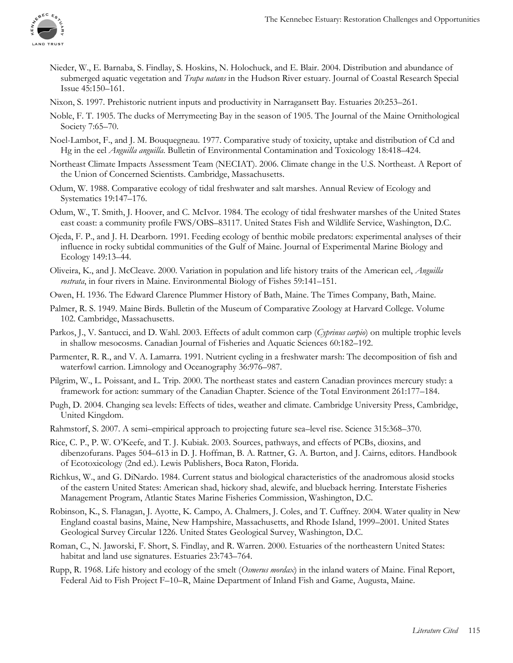

- Nieder, W., E. Barnaba, S. Findlay, S. Hoskins, N. Holochuck, and E. Blair. 2004. Distribution and abundance of submerged aquatic vegetation and *Trapa natans* in the Hudson River estuary. Journal of Coastal Research Special Issue 45:150–161.
- Nixon, S. 1997. Prehistoric nutrient inputs and productivity in Narragansett Bay. Estuaries 20:253–261.
- Noble, F. T. 1905. The ducks of Merrymeeting Bay in the season of 1905. The Journal of the Maine Ornithological Society 7:65–70.
- Noel-Lambot, F., and J. M. Bouquegneau. 1977. Comparative study of toxicity, uptake and distribution of Cd and Hg in the eel *Anguilla anguilla*. Bulletin of Environmental Contamination and Toxicology 18:418–424.
- Northeast Climate Impacts Assessment Team (NECIAT). 2006. Climate change in the U.S. Northeast. A Report of the Union of Concerned Scientists. Cambridge, Massachusetts.
- Odum, W. 1988. Comparative ecology of tidal freshwater and salt marshes. Annual Review of Ecology and Systematics 19:147–176.
- Odum, W., T. Smith, J. Hoover, and C. McIvor. 1984. The ecology of tidal freshwater marshes of the United States east coast: a community profile FWS/OBS–83117. United States Fish and Wildlife Service, Washington, D.C.
- Ojeda, F. P., and J. H. Dearborn. 1991. Feeding ecology of benthic mobile predators: experimental analyses of their influence in rocky subtidal communities of the Gulf of Maine. Journal of Experimental Marine Biology and Ecology 149:13–44.
- Oliveira, K., and J. McCleave. 2000. Variation in population and life history traits of the American eel, *Anguilla rostrata*, in four rivers in Maine. Environmental Biology of Fishes 59:141–151.
- Owen, H. 1936. The Edward Clarence Plummer History of Bath, Maine. The Times Company, Bath, Maine.
- Palmer, R. S. 1949. Maine Birds. Bulletin of the Museum of Comparative Zoology at Harvard College. Volume 102. Cambridge, Massachusetts.
- Parkos, J., V. Santucci, and D. Wahl. 2003. Effects of adult common carp (*Cyprinus carpio*) on multiple trophic levels in shallow mesocosms. Canadian Journal of Fisheries and Aquatic Sciences 60:182–192.
- Parmenter, R. R., and V. A. Lamarra. 1991. Nutrient cycling in a freshwater marsh: The decomposition of fish and waterfowl carrion. Limnology and Oceanography 36:976–987.
- Pilgrim, W., L. Poissant, and L. Trip. 2000. The northeast states and eastern Canadian provinces mercury study: a framework for action: summary of the Canadian Chapter. Science of the Total Environment 261:177–184.
- Pugh, D. 2004. Changing sea levels: Effects of tides, weather and climate. Cambridge University Press, Cambridge, United Kingdom.
- Rahmstorf, S. 2007. A semi–empirical approach to projecting future sea–level rise. Science 315:368–370.
- Rice, C. P., P. W. O'Keefe, and T. J. Kubiak. 2003. Sources, pathways, and effects of PCBs, dioxins, and dibenzofurans. Pages 504–613 in D. J. Hoffman, B. A. Rattner, G. A. Burton, and J. Cairns, editors. Handbook of Ecotoxicology (2nd ed.). Lewis Publishers, Boca Raton, Florida.
- Richkus, W., and G. DiNardo. 1984. Current status and biological characteristics of the anadromous alosid stocks of the eastern United States: American shad, hickory shad, alewife, and blueback herring. Interstate Fisheries Management Program, Atlantic States Marine Fisheries Commission, Washington, D.C.
- Robinson, K., S. Flanagan, J. Ayotte, K. Campo, A. Chalmers, J. Coles, and T. Cuffney. 2004. Water quality in New England coastal basins, Maine, New Hampshire, Massachusetts, and Rhode Island, 1999–2001. United States Geological Survey Circular 1226. United States Geological Survey, Washington, D.C.
- Roman, C., N. Jaworski, F. Short, S. Findlay, and R. Warren. 2000. Estuaries of the northeastern United States: habitat and land use signatures. Estuaries 23:743–764.
- Rupp, R. 1968. Life history and ecology of the smelt (*Osmerus mordax*) in the inland waters of Maine. Final Report, Federal Aid to Fish Project F–10–R, Maine Department of Inland Fish and Game, Augusta, Maine.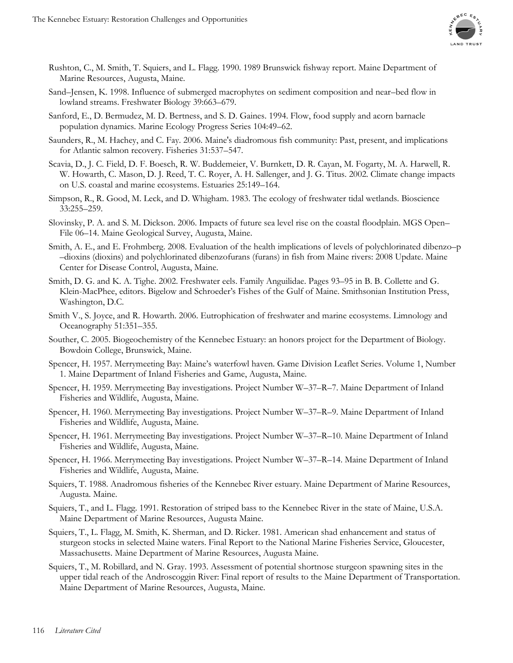

- Rushton, C., M. Smith, T. Squiers, and L. Flagg. 1990. 1989 Brunswick fishway report. Maine Department of Marine Resources, Augusta, Maine.
- Sand–Jensen, K. 1998. Influence of submerged macrophytes on sediment composition and near–bed flow in lowland streams. Freshwater Biology 39:663–679.
- Sanford, E., D. Bermudez, M. D. Bertness, and S. D. Gaines. 1994. Flow, food supply and acorn barnacle population dynamics. Marine Ecology Progress Series 104:49–62.
- Saunders, R., M. Hachey, and C. Fay. 2006. Maine's diadromous fish community: Past, present, and implications for Atlantic salmon recovery. Fisheries 31:537–547.
- Scavia, D., J. C. Field, D. F. Boesch, R. W. Buddemeier, V. Burnkett, D. R. Cayan, M. Fogarty, M. A. Harwell, R. W. Howarth, C. Mason, D. J. Reed, T. C. Royer, A. H. Sallenger, and J. G. Titus. 2002. Climate change impacts on U.S. coastal and marine ecosystems. Estuaries 25:149–164.
- Simpson, R., R. Good, M. Leck, and D. Whigham. 1983. The ecology of freshwater tidal wetlands. Bioscience 33:255–259.
- Slovinsky, P. A. and S. M. Dickson. 2006. Impacts of future sea level rise on the coastal floodplain. MGS Open– File 06–14. Maine Geological Survey, Augusta, Maine.
- Smith, A. E., and E. Frohmberg. 2008. Evaluation of the health implications of levels of polychlorinated dibenzo–p –dioxins (dioxins) and polychlorinated dibenzofurans (furans) in fish from Maine rivers: 2008 Update. Maine Center for Disease Control, Augusta, Maine.
- Smith, D. G. and K. A. Tighe. 2002. Freshwater eels. Family Anguilidae. Pages 93–95 in B. B. Collette and G. Klein-MacPhee, editors. Bigelow and Schroeder's Fishes of the Gulf of Maine. Smithsonian Institution Press, Washington, D.C.
- Smith V., S. Joyce, and R. Howarth. 2006. Eutrophication of freshwater and marine ecosystems. Limnology and Oceanography 51:351–355.
- Souther, C. 2005. Biogeochemistry of the Kennebec Estuary: an honors project for the Department of Biology. Bowdoin College, Brunswick, Maine.
- Spencer, H. 1957. Merrymeeting Bay: Maine's waterfowl haven. Game Division Leaflet Series. Volume 1, Number 1. Maine Department of Inland Fisheries and Game, Augusta, Maine.
- Spencer, H. 1959. Merrymeeting Bay investigations. Project Number W–37–R–7. Maine Department of Inland Fisheries and Wildlife, Augusta, Maine.
- Spencer, H. 1960. Merrymeeting Bay investigations. Project Number W–37–R–9. Maine Department of Inland Fisheries and Wildlife, Augusta, Maine.
- Spencer, H. 1961. Merrymeeting Bay investigations. Project Number W–37–R–10. Maine Department of Inland Fisheries and Wildlife, Augusta, Maine.
- Spencer, H. 1966. Merrymeeting Bay investigations. Project Number W–37–R–14. Maine Department of Inland Fisheries and Wildlife, Augusta, Maine.
- Squiers, T. 1988. Anadromous fisheries of the Kennebec River estuary. Maine Department of Marine Resources, Augusta. Maine.
- Squiers, T., and L. Flagg. 1991. Restoration of striped bass to the Kennebec River in the state of Maine, U.S.A. Maine Department of Marine Resources, Augusta Maine.
- Squiers, T., L. Flagg, M. Smith, K. Sherman, and D. Ricker. 1981. American shad enhancement and status of sturgeon stocks in selected Maine waters. Final Report to the National Marine Fisheries Service, Gloucester, Massachusetts. Maine Department of Marine Resources, Augusta Maine.
- Squiers, T., M. Robillard, and N. Gray. 1993. Assessment of potential shortnose sturgeon spawning sites in the upper tidal reach of the Androscoggin River: Final report of results to the Maine Department of Transportation. Maine Department of Marine Resources, Augusta, Maine.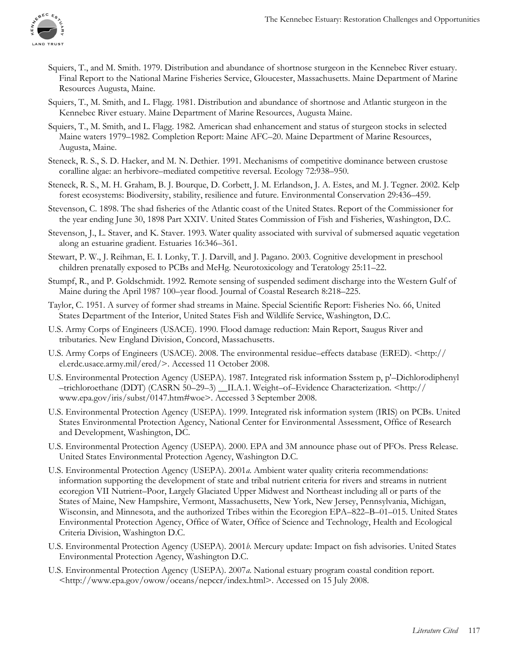

- Squiers, T., and M. Smith. 1979. Distribution and abundance of shortnose sturgeon in the Kennebec River estuary. Final Report to the National Marine Fisheries Service, Gloucester, Massachusetts. Maine Department of Marine Resources Augusta, Maine.
- Squiers, T., M. Smith, and L. Flagg. 1981. Distribution and abundance of shortnose and Atlantic sturgeon in the Kennebec River estuary. Maine Department of Marine Resources, Augusta Maine.
- Squiers, T., M. Smith, and L. Flagg. 1982. American shad enhancement and status of sturgeon stocks in selected Maine waters 1979–1982. Completion Report: Maine AFC–20. Maine Department of Marine Resources, Augusta, Maine.
- Steneck, R. S., S. D. Hacker, and M. N. Dethier. 1991. Mechanisms of competitive dominance between crustose coralline algae: an herbivore–mediated competitive reversal. Ecology 72:938–950.
- Steneck, R. S., M. H. Graham, B. J. Bourque, D. Corbett, J. M. Erlandson, J. A. Estes, and M. J. Tegner. 2002. Kelp forest ecosystems: Biodiversity, stability, resilience and future. Environmental Conservation 29:436–459.
- Stevenson, C. 1898. The shad fisheries of the Atlantic coast of the United States. Report of the Commissioner for the year ending June 30, 1898 Part XXIV. United States Commission of Fish and Fisheries, Washington, D.C.
- Stevenson, J., L. Staver, and K. Staver. 1993. Water quality associated with survival of submersed aquatic vegetation along an estuarine gradient. Estuaries 16:346–361.
- Stewart, P. W., J. Reihman, E. I. Lonky, T. J. Darvill, and J. Pagano. 2003. Cognitive development in preschool children prenatally exposed to PCBs and MeHg. Neurotoxicology and Teratology 25:11–22.
- Stumpf, R., and P. Goldschmidt. 1992. Remote sensing of suspended sediment discharge into the Western Gulf of Maine during the April 1987 100–year flood. Journal of Coastal Research 8:218–225.
- Taylor, C. 1951. A survey of former shad streams in Maine. Special Scientific Report: Fisheries No. 66, United States Department of the Interior, United States Fish and Wildlife Service, Washington, D.C.
- U.S. Army Corps of Engineers (USACE). 1990. Flood damage reduction: Main Report, Saugus River and tributaries. New England Division, Concord, Massachusetts.
- U.S. Army Corps of Engineers (USACE). 2008. The environmental residue–effects database (ERED). <http:// el.erdc.usace.army.mil/ered/>. Accessed 11 October 2008.
- U.S. Environmental Protection Agency (USEPA). 1987. Integrated risk information Ssstem p, p'–Dichlorodiphenyl –trichloroethane (DDT) (CASRN 50–29–3) \_\_II.A.1. Weight–of–Evidence Characterization. <http:// www.epa.gov/iris/subst/0147.htm#woe>. Accessed 3 September 2008.
- U.S. Environmental Protection Agency (USEPA). 1999. Integrated risk information system (IRIS) on PCBs. United States Environmental Protection Agency, National Center for Environmental Assessment, Office of Research and Development, Washington, DC.
- U.S. Environmental Protection Agency (USEPA). 2000. EPA and 3M announce phase out of PFOs. Press Release. United States Environmental Protection Agency, Washington D.C.
- U.S. Environmental Protection Agency (USEPA). 2001*a*. Ambient water quality criteria recommendations: information supporting the development of state and tribal nutrient criteria for rivers and streams in nutrient ecoregion VII Nutrient–Poor, Largely Glaciated Upper Midwest and Northeast including all or parts of the States of Maine, New Hampshire, Vermont, Massachusetts, New York, New Jersey, Pennsylvania, Michigan, Wisconsin, and Minnesota, and the authorized Tribes within the Ecoregion EPA–822–B–01–015. United States Environmental Protection Agency, Office of Water, Office of Science and Technology, Health and Ecological Criteria Division, Washington D.C.
- U.S. Environmental Protection Agency (USEPA). 2001*b*. Mercury update: Impact on fish advisories. United States Environmental Protection Agency, Washington D.C.
- U.S. Environmental Protection Agency (USEPA). 2007*a*. National estuary program coastal condition report. <http://www.epa.gov/owow/oceans/nepccr/index.html>. Accessed on 15 July 2008.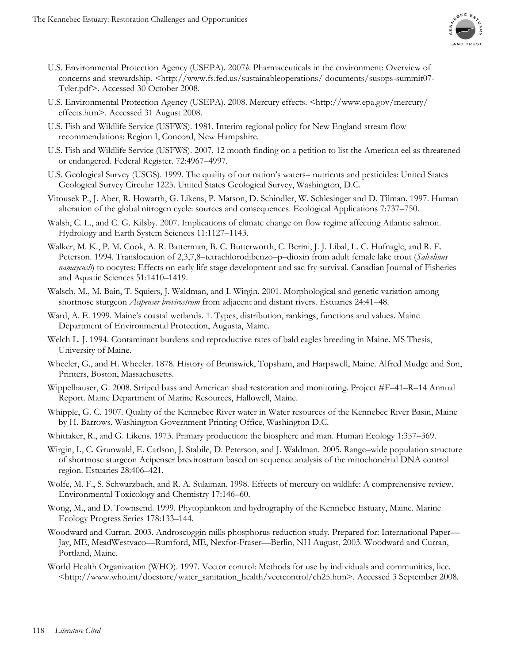

- U.S. Environmental Protection Agency (USEPA). 2007*b*. Pharmaceuticals in the environment: Overview of concerns and stewardship. <http://www.fs.fed.us/sustainableoperations/ documents/susops-summit07-Tyler.pdf>. Accessed 30 October 2008.
- U.S. Environmental Protection Agency (USEPA). 2008. Mercury effects. <http://www.epa.gov/mercury/ effects.htm>. Accessed 31 August 2008.
- U.S. Fish and Wildlife Service (USFWS). 1981. Interim regional policy for New England stream flow recommendations: Region I, Concord, New Hampshire.
- U.S. Fish and Wildlife Service (USFWS). 2007. 12 month finding on a petition to list the American eel as threatened or endangered. Federal Register. 72:4967–4997.
- U.S. Geological Survey (USGS). 1999. The quality of our nation's waters– nutrients and pesticides: United States Geological Survey Circular 1225. United States Geological Survey, Washington, D.C.
- Vitousek P., J. Aber, R. Howarth, G. Likens, P. Matson, D. Schindler, W. Schlesinger and D. Tilman. 1997. Human alteration of the global nitrogen cycle: sources and consequences. Ecological Applications 7:737–750.
- Walsh, C. L., and C. G. Kilsby. 2007. Implications of climate change on flow regime affecting Atlantic salmon. Hydrology and Earth System Sciences 11:1127–1143.
- Walker, M. K., P. M. Cook, A. R. Batterman, B. C. Butterworth, C. Berini, J. J. Libal, L. C. Hufnagle, and R. E. Peterson. 1994. Translocation of 2,3,7,8–tetrachlorodibenzo–p–dioxin from adult female lake trout (*Salvelinus namaycush*) to oocytes: Effects on early life stage development and sac fry survival. Canadian Journal of Fisheries and Aquatic Sciences 51:1410–1419.
- Walsch, M., M. Bain, T. Squiers, J. Waldman, and I. Wirgin. 2001. Morphological and genetic variation among shortnose sturgeon *Acipenser brevirostrum* from adjacent and distant rivers. Estuaries 24:41–48.
- Ward, A. E. 1999. Maine's coastal wetlands. 1. Types, distribution, rankings, functions and values. Maine Department of Environmental Protection, Augusta, Maine.
- Welch L. J. 1994. Contaminant burdens and reproductive rates of bald eagles breeding in Maine. MS Thesis, University of Maine.
- Wheeler, G., and H. Wheeler. 1878. History of Brunswick, Topsham, and Harpswell, Maine. Alfred Mudge and Son, Printers, Boston, Massachusetts.
- Wippelhauser, G. 2008. Striped bass and American shad restoration and monitoring. Project #F–41–R–14 Annual Report. Maine Department of Marine Resources, Hallowell, Maine.
- Whipple, G. C. 1907. Quality of the Kennebec River water in Water resources of the Kennebec River Basin, Maine by H. Barrows. Washington Government Printing Office, Washington D.C.
- Whittaker, R., and G. Likens. 1973. Primary production: the biosphere and man. Human Ecology 1:357–369.
- Wirgin, I., C. Grunwald, E. Carlson, J. Stabile, D. Peterson, and J. Waldman. 2005. Range–wide population structure of shortnose sturgeon Acipenser brevirostrum based on sequence analysis of the mitochondrial DNA control region. Estuaries 28:406–421.
- Wolfe, M. F., S. Schwarzbach, and R. A. Sulaiman. 1998. Effects of mercury on wildlife: A comprehensive review. Environmental Toxicology and Chemistry 17:146–60.
- Wong, M., and D. Townsend. 1999. Phytoplankton and hydrography of the Kennebec Estuary, Maine. Marine Ecology Progress Series 178:133–144.
- Woodward and Curran. 2003. Androscoggin mills phosphorus reduction study. Prepared for: International Paper— Jay, ME, MeadWestvaco—Rumford, ME, Nexfor-Fraser—Berlin, NH August, 2003. Woodward and Curran, Portland, Maine.
- World Health Organization (WHO). 1997. Vector control: Methods for use by individuals and communities, lice. <http://www.who.int/docstore/water\_sanitation\_health/vectcontrol/ch25.htm>. Accessed 3 September 2008.